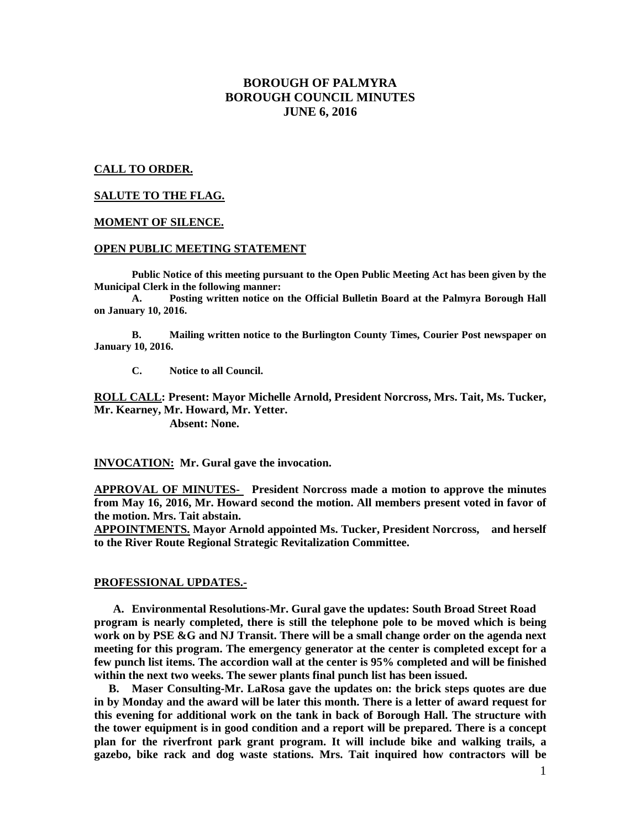# **BOROUGH OF PALMYRA BOROUGH COUNCIL MINUTES JUNE 6, 2016**

## **CALL TO ORDER.**

### **SALUTE TO THE FLAG.**

#### **MOMENT OF SILENCE.**

#### **OPEN PUBLIC MEETING STATEMENT**

**Public Notice of this meeting pursuant to the Open Public Meeting Act has been given by the Municipal Clerk in the following manner:** 

 **A. Posting written notice on the Official Bulletin Board at the Palmyra Borough Hall on January 10, 2016.** 

 **B. Mailing written notice to the Burlington County Times, Courier Post newspaper on January 10, 2016.** 

 **C. Notice to all Council.** 

**ROLL CALL: Present: Mayor Michelle Arnold, President Norcross, Mrs. Tait, Ms. Tucker, Mr. Kearney, Mr. Howard, Mr. Yetter.** 

 **Absent: None.** 

**INVOCATION: Mr. Gural gave the invocation.** 

**APPROVAL OF MINUTES- President Norcross made a motion to approve the minutes from May 16, 2016, Mr. Howard second the motion. All members present voted in favor of the motion. Mrs. Tait abstain.** 

**APPOINTMENTS. Mayor Arnold appointed Ms. Tucker, President Norcross, and herself to the River Route Regional Strategic Revitalization Committee.** 

#### **PROFESSIONAL UPDATES.-**

**A. Environmental Resolutions-Mr. Gural gave the updates: South Broad Street Road program is nearly completed, there is still the telephone pole to be moved which is being work on by PSE &G and NJ Transit. There will be a small change order on the agenda next meeting for this program. The emergency generator at the center is completed except for a few punch list items. The accordion wall at the center is 95% completed and will be finished within the next two weeks. The sewer plants final punch list has been issued.** 

 **B. Maser Consulting-Mr. LaRosa gave the updates on: the brick steps quotes are due in by Monday and the award will be later this month. There is a letter of award request for this evening for additional work on the tank in back of Borough Hall. The structure with the tower equipment is in good condition and a report will be prepared. There is a concept plan for the riverfront park grant program. It will include bike and walking trails, a gazebo, bike rack and dog waste stations. Mrs. Tait inquired how contractors will be**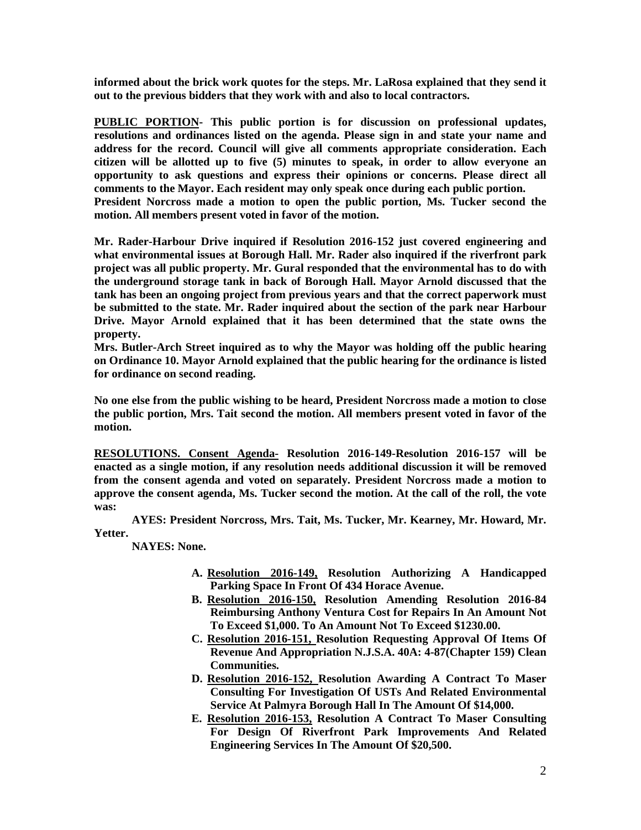**informed about the brick work quotes for the steps. Mr. LaRosa explained that they send it out to the previous bidders that they work with and also to local contractors.** 

**PUBLIC PORTION- This public portion is for discussion on professional updates, resolutions and ordinances listed on the agenda. Please sign in and state your name and address for the record. Council will give all comments appropriate consideration. Each citizen will be allotted up to five (5) minutes to speak, in order to allow everyone an opportunity to ask questions and express their opinions or concerns. Please direct all comments to the Mayor. Each resident may only speak once during each public portion. President Norcross made a motion to open the public portion, Ms. Tucker second the motion. All members present voted in favor of the motion.** 

**Mr. Rader-Harbour Drive inquired if Resolution 2016-152 just covered engineering and what environmental issues at Borough Hall. Mr. Rader also inquired if the riverfront park project was all public property. Mr. Gural responded that the environmental has to do with the underground storage tank in back of Borough Hall. Mayor Arnold discussed that the tank has been an ongoing project from previous years and that the correct paperwork must be submitted to the state. Mr. Rader inquired about the section of the park near Harbour Drive. Mayor Arnold explained that it has been determined that the state owns the property.** 

**Mrs. Butler-Arch Street inquired as to why the Mayor was holding off the public hearing on Ordinance 10. Mayor Arnold explained that the public hearing for the ordinance is listed for ordinance on second reading.** 

**No one else from the public wishing to be heard, President Norcross made a motion to close the public portion, Mrs. Tait second the motion. All members present voted in favor of the motion.** 

**RESOLUTIONS. Consent Agenda- Resolution 2016-149-Resolution 2016-157 will be enacted as a single motion, if any resolution needs additional discussion it will be removed from the consent agenda and voted on separately. President Norcross made a motion to approve the consent agenda, Ms. Tucker second the motion. At the call of the roll, the vote was:** 

 **AYES: President Norcross, Mrs. Tait, Ms. Tucker, Mr. Kearney, Mr. Howard, Mr. Yetter.** 

 **NAYES: None.** 

- **A. Resolution 2016-149, Resolution Authorizing A Handicapped Parking Space In Front Of 434 Horace Avenue.**
- **B. Resolution 2016-150, Resolution Amending Resolution 2016-84 Reimbursing Anthony Ventura Cost for Repairs In An Amount Not To Exceed \$1,000. To An Amount Not To Exceed \$1230.00.**
- **C. Resolution 2016-151, Resolution Requesting Approval Of Items Of Revenue And Appropriation N.J.S.A. 40A: 4-87(Chapter 159) Clean Communities.**
- **D. Resolution 2016-152, Resolution Awarding A Contract To Maser Consulting For Investigation Of USTs And Related Environmental Service At Palmyra Borough Hall In The Amount Of \$14,000.**
- **E. Resolution 2016-153, Resolution A Contract To Maser Consulting For Design Of Riverfront Park Improvements And Related Engineering Services In The Amount Of \$20,500.**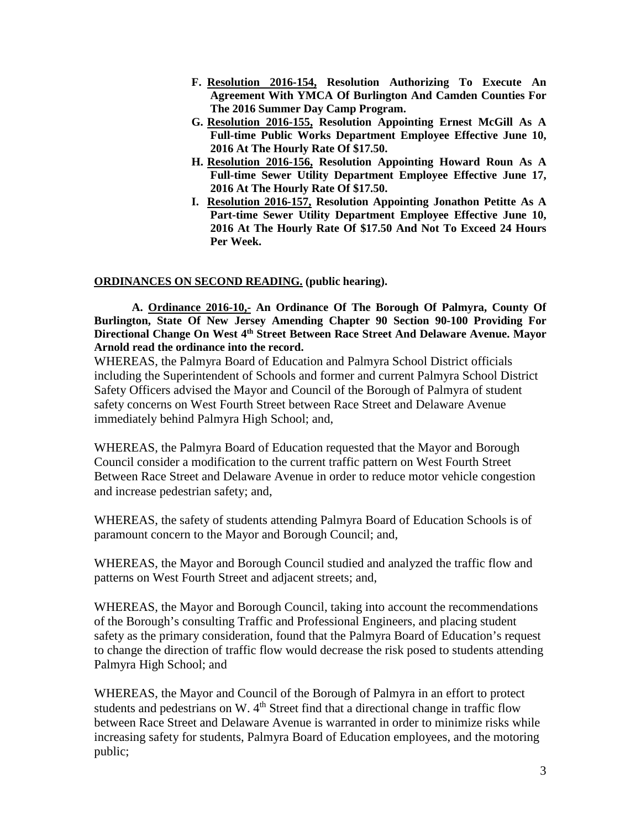- **F. Resolution 2016-154, Resolution Authorizing To Execute An Agreement With YMCA Of Burlington And Camden Counties For The 2016 Summer Day Camp Program.**
- **G. Resolution 2016-155, Resolution Appointing Ernest McGill As A Full-time Public Works Department Employee Effective June 10, 2016 At The Hourly Rate Of \$17.50.**
- **H. Resolution 2016-156, Resolution Appointing Howard Roun As A Full-time Sewer Utility Department Employee Effective June 17, 2016 At The Hourly Rate Of \$17.50.**
- **I. Resolution 2016-157, Resolution Appointing Jonathon Petitte As A Part-time Sewer Utility Department Employee Effective June 10, 2016 At The Hourly Rate Of \$17.50 And Not To Exceed 24 Hours Per Week.**

## **ORDINANCES ON SECOND READING. (public hearing).**

 **A. Ordinance 2016-10,- An Ordinance Of The Borough Of Palmyra, County Of Burlington, State Of New Jersey Amending Chapter 90 Section 90-100 Providing For Directional Change On West 4th Street Between Race Street And Delaware Avenue. Mayor Arnold read the ordinance into the record.** 

WHEREAS, the Palmyra Board of Education and Palmyra School District officials including the Superintendent of Schools and former and current Palmyra School District Safety Officers advised the Mayor and Council of the Borough of Palmyra of student safety concerns on West Fourth Street between Race Street and Delaware Avenue immediately behind Palmyra High School; and,

WHEREAS, the Palmyra Board of Education requested that the Mayor and Borough Council consider a modification to the current traffic pattern on West Fourth Street Between Race Street and Delaware Avenue in order to reduce motor vehicle congestion and increase pedestrian safety; and,

WHEREAS, the safety of students attending Palmyra Board of Education Schools is of paramount concern to the Mayor and Borough Council; and,

WHEREAS, the Mayor and Borough Council studied and analyzed the traffic flow and patterns on West Fourth Street and adjacent streets; and,

WHEREAS, the Mayor and Borough Council, taking into account the recommendations of the Borough's consulting Traffic and Professional Engineers, and placing student safety as the primary consideration, found that the Palmyra Board of Education's request to change the direction of traffic flow would decrease the risk posed to students attending Palmyra High School; and

WHEREAS, the Mayor and Council of the Borough of Palmyra in an effort to protect students and pedestrians on W. 4<sup>th</sup> Street find that a directional change in traffic flow between Race Street and Delaware Avenue is warranted in order to minimize risks while increasing safety for students, Palmyra Board of Education employees, and the motoring public;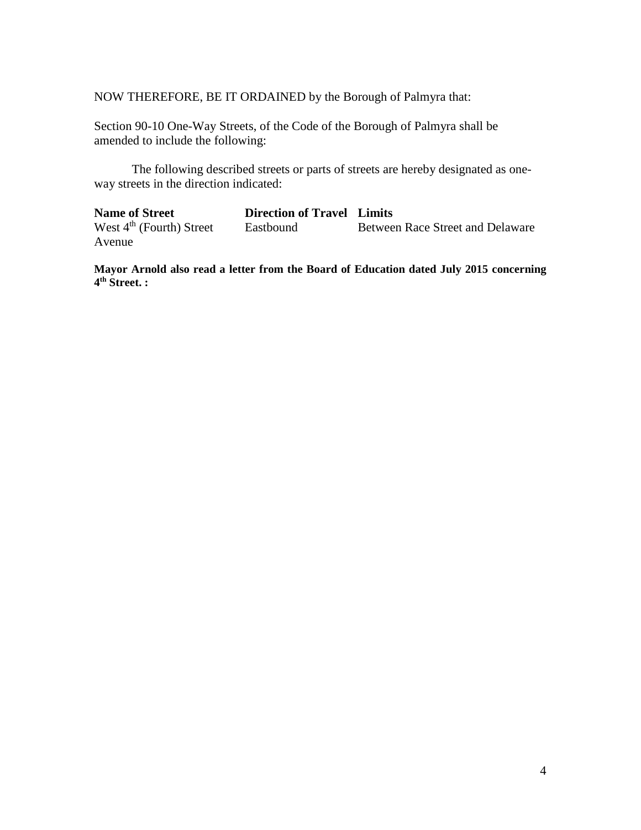NOW THEREFORE, BE IT ORDAINED by the Borough of Palmyra that:

Section 90-10 One-Way Streets, of the Code of the Borough of Palmyra shall be amended to include the following:

 The following described streets or parts of streets are hereby designated as oneway streets in the direction indicated:

**Name of Street Direction of Travel Limits**<br>West  $4^{\text{th}}$  (Fourth) Street **Eastbound** Betwee Between Race Street and Delaware Avenue

**Mayor Arnold also read a letter from the Board of Education dated July 2015 concerning 4 th Street. :**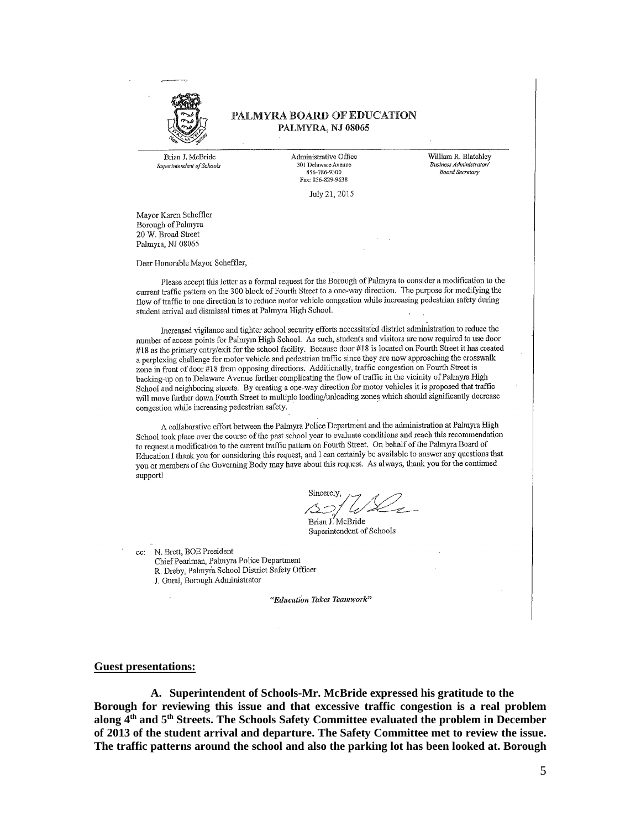

### PALMYRA BOARD OF EDUCATION PALMYRA, NJ 08065

Brian J. McBride Superintendent of Schools Administrative Office 301 Delaware Avenue 856-786-9300 Fax: 856-829-9638

William R. Blatchley .<br>Business Administratori Board Secretary

July 21, 2015

Mayor Karen Scheffler Borough of Palmyra 20 W. Broad Street Palmyra, NJ 08065

Dear Honorable Mayor Scheffler,

Please accept this letter as a formal request for the Borough of Palmyra to consider a modification to the current traffic pattern on the 300 block of Fourth Street to a one-way direction. The purpose for modifying the flow of traffic to one direction is to reduce motor vehicle congestion while increasing pedestrian safety during student arrival and dismissal times at Palmyra High School.

Increased vigilance and tighter school security efforts necessitated district administration to reduce the number of access points for Palmyra High School. As such, students and visitors are now required to use door #18 as the primary entry/exit for the school facility. Because door #18 is located on Fourth Street it has created a perplexing challenge for motor vehicle and pedestrian traffic since they are now approaching the crosswalk zone in front of door #18 from opposing directions. Additionally, traffic congestion on Fourth Street is backing-up on to Delaware Avenue further complicating the flow of traffic in the vicinity of Palmyra High School and neighboring streets. By creating a one-way direction for motor vehicles it is proposed that traffic will move further down Fourth Street to multiple loading/unloading zones which should significantly decrease congestion while increasing pedestrian safety.

A collaborative effort between the Palmyra Police Department and the administration at Palmyra High School took place over the course of the past school year to evaluate conditions and reach this recommendation to request a modification to the current traffic pattern on Fourth Street. On behalf of the Palmyra Board of Education I thank you for considering this request, and I can certainly be available to answer any questions that you or members of the Governing Body may have about this request. As always, thank you for the continued support!

Sincerely

Brian J. McBride Superintendent of Schools

N. Brett, BOE President cc: Chief Pearlman, Palmyra Police Department R. Dreby, Palmyra School District Safety Officer J. Gural, Borough Administrator

"Education Takes Teamwork"

#### **Guest presentations:**

**A. Superintendent of Schools-Mr. McBride expressed his gratitude to the Borough for reviewing this issue and that excessive traffic congestion is a real problem along 4th and 5th Streets. The Schools Safety Committee evaluated the problem in December of 2013 of the student arrival and departure. The Safety Committee met to review the issue. The traffic patterns around the school and also the parking lot has been looked at. Borough**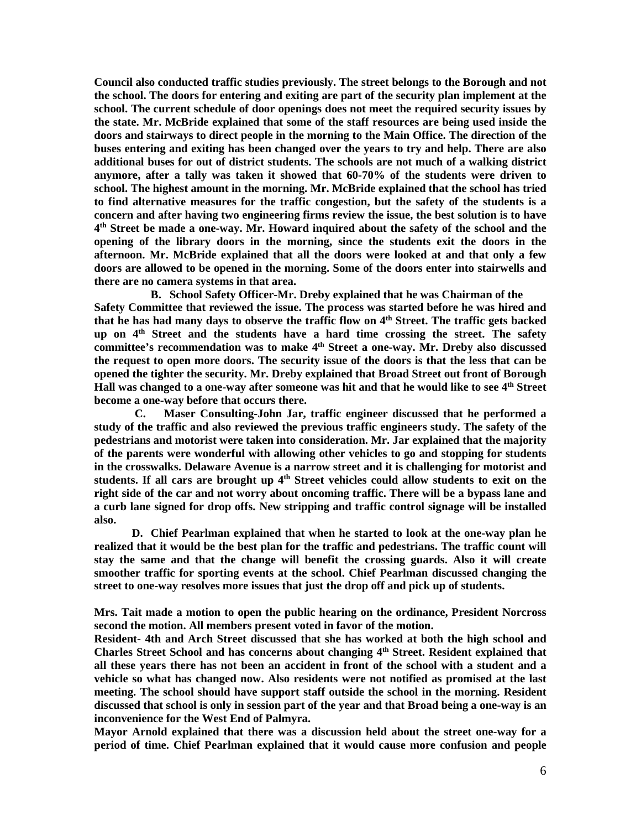**Council also conducted traffic studies previously. The street belongs to the Borough and not the school. The doors for entering and exiting are part of the security plan implement at the school. The current schedule of door openings does not meet the required security issues by the state. Mr. McBride explained that some of the staff resources are being used inside the doors and stairways to direct people in the morning to the Main Office. The direction of the buses entering and exiting has been changed over the years to try and help. There are also additional buses for out of district students. The schools are not much of a walking district anymore, after a tally was taken it showed that 60-70% of the students were driven to school. The highest amount in the morning. Mr. McBride explained that the school has tried to find alternative measures for the traffic congestion, but the safety of the students is a concern and after having two engineering firms review the issue, the best solution is to have 4 th Street be made a one-way. Mr. Howard inquired about the safety of the school and the opening of the library doors in the morning, since the students exit the doors in the afternoon. Mr. McBride explained that all the doors were looked at and that only a few doors are allowed to be opened in the morning. Some of the doors enter into stairwells and there are no camera systems in that area.** 

**B. School Safety Officer-Mr. Dreby explained that he was Chairman of the Safety Committee that reviewed the issue. The process was started before he was hired and that he has had many days to observe the traffic flow on 4th Street. The traffic gets backed up on 4th Street and the students have a hard time crossing the street. The safety committee's recommendation was to make 4th Street a one-way. Mr. Dreby also discussed the request to open more doors. The security issue of the doors is that the less that can be opened the tighter the security. Mr. Dreby explained that Broad Street out front of Borough Hall was changed to a one-way after someone was hit and that he would like to see 4th Street become a one-way before that occurs there.** 

 **C. Maser Consulting-John Jar, traffic engineer discussed that he performed a study of the traffic and also reviewed the previous traffic engineers study. The safety of the pedestrians and motorist were taken into consideration. Mr. Jar explained that the majority of the parents were wonderful with allowing other vehicles to go and stopping for students in the crosswalks. Delaware Avenue is a narrow street and it is challenging for motorist and students. If all cars are brought up 4th Street vehicles could allow students to exit on the right side of the car and not worry about oncoming traffic. There will be a bypass lane and a curb lane signed for drop offs. New stripping and traffic control signage will be installed also.** 

 **D. Chief Pearlman explained that when he started to look at the one-way plan he realized that it would be the best plan for the traffic and pedestrians. The traffic count will stay the same and that the change will benefit the crossing guards. Also it will create smoother traffic for sporting events at the school. Chief Pearlman discussed changing the street to one-way resolves more issues that just the drop off and pick up of students.** 

**Mrs. Tait made a motion to open the public hearing on the ordinance, President Norcross second the motion. All members present voted in favor of the motion.** 

**Resident- 4th and Arch Street discussed that she has worked at both the high school and Charles Street School and has concerns about changing 4th Street. Resident explained that all these years there has not been an accident in front of the school with a student and a vehicle so what has changed now. Also residents were not notified as promised at the last meeting. The school should have support staff outside the school in the morning. Resident discussed that school is only in session part of the year and that Broad being a one-way is an inconvenience for the West End of Palmyra.** 

**Mayor Arnold explained that there was a discussion held about the street one-way for a period of time. Chief Pearlman explained that it would cause more confusion and people**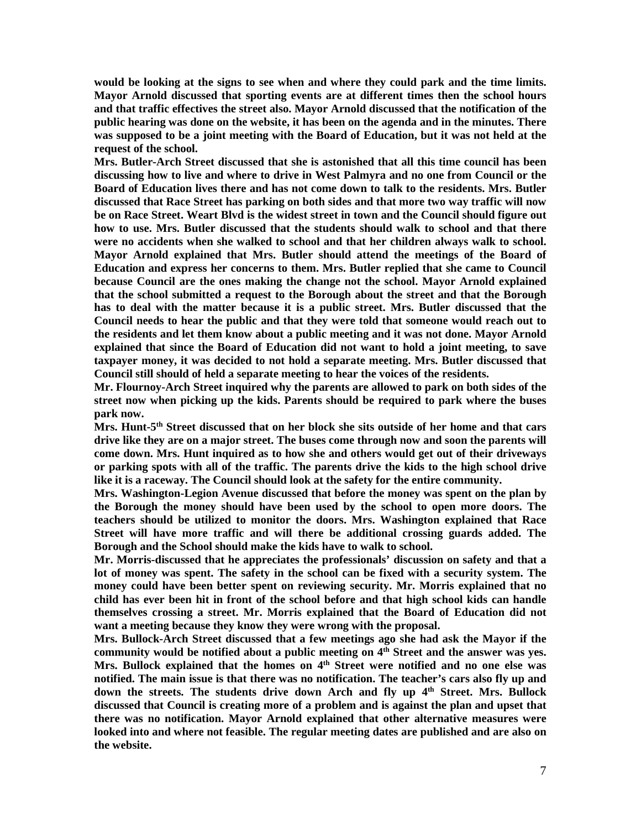**would be looking at the signs to see when and where they could park and the time limits. Mayor Arnold discussed that sporting events are at different times then the school hours and that traffic effectives the street also. Mayor Arnold discussed that the notification of the public hearing was done on the website, it has been on the agenda and in the minutes. There was supposed to be a joint meeting with the Board of Education, but it was not held at the request of the school.** 

**Mrs. Butler-Arch Street discussed that she is astonished that all this time council has been discussing how to live and where to drive in West Palmyra and no one from Council or the Board of Education lives there and has not come down to talk to the residents. Mrs. Butler discussed that Race Street has parking on both sides and that more two way traffic will now be on Race Street. Weart Blvd is the widest street in town and the Council should figure out how to use. Mrs. Butler discussed that the students should walk to school and that there were no accidents when she walked to school and that her children always walk to school. Mayor Arnold explained that Mrs. Butler should attend the meetings of the Board of Education and express her concerns to them. Mrs. Butler replied that she came to Council because Council are the ones making the change not the school. Mayor Arnold explained that the school submitted a request to the Borough about the street and that the Borough has to deal with the matter because it is a public street. Mrs. Butler discussed that the Council needs to hear the public and that they were told that someone would reach out to the residents and let them know about a public meeting and it was not done. Mayor Arnold explained that since the Board of Education did not want to hold a joint meeting, to save taxpayer money, it was decided to not hold a separate meeting. Mrs. Butler discussed that Council still should of held a separate meeting to hear the voices of the residents.** 

**Mr. Flournoy-Arch Street inquired why the parents are allowed to park on both sides of the street now when picking up the kids. Parents should be required to park where the buses park now.** 

**Mrs. Hunt-5th Street discussed that on her block she sits outside of her home and that cars drive like they are on a major street. The buses come through now and soon the parents will come down. Mrs. Hunt inquired as to how she and others would get out of their driveways or parking spots with all of the traffic. The parents drive the kids to the high school drive like it is a raceway. The Council should look at the safety for the entire community.** 

**Mrs. Washington-Legion Avenue discussed that before the money was spent on the plan by the Borough the money should have been used by the school to open more doors. The teachers should be utilized to monitor the doors. Mrs. Washington explained that Race Street will have more traffic and will there be additional crossing guards added. The Borough and the School should make the kids have to walk to school.** 

**Mr. Morris-discussed that he appreciates the professionals' discussion on safety and that a lot of money was spent. The safety in the school can be fixed with a security system. The money could have been better spent on reviewing security. Mr. Morris explained that no child has ever been hit in front of the school before and that high school kids can handle themselves crossing a street. Mr. Morris explained that the Board of Education did not want a meeting because they know they were wrong with the proposal.** 

**Mrs. Bullock-Arch Street discussed that a few meetings ago she had ask the Mayor if the community would be notified about a public meeting on 4th Street and the answer was yes. Mrs. Bullock explained that the homes on 4th Street were notified and no one else was notified. The main issue is that there was no notification. The teacher's cars also fly up and down the streets. The students drive down Arch and fly up 4th Street. Mrs. Bullock discussed that Council is creating more of a problem and is against the plan and upset that there was no notification. Mayor Arnold explained that other alternative measures were looked into and where not feasible. The regular meeting dates are published and are also on the website.**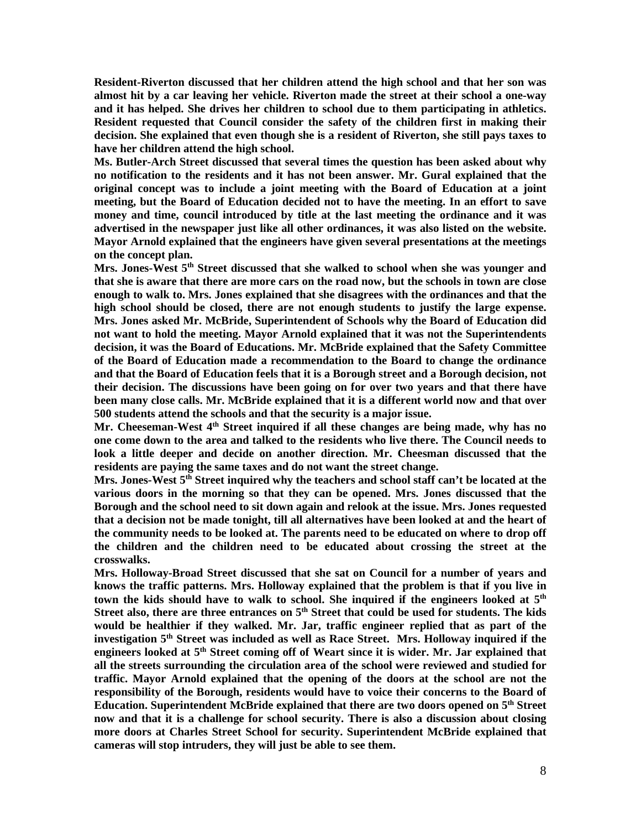**Resident-Riverton discussed that her children attend the high school and that her son was almost hit by a car leaving her vehicle. Riverton made the street at their school a one-way and it has helped. She drives her children to school due to them participating in athletics. Resident requested that Council consider the safety of the children first in making their decision. She explained that even though she is a resident of Riverton, she still pays taxes to have her children attend the high school.** 

**Ms. Butler-Arch Street discussed that several times the question has been asked about why no notification to the residents and it has not been answer. Mr. Gural explained that the original concept was to include a joint meeting with the Board of Education at a joint meeting, but the Board of Education decided not to have the meeting. In an effort to save money and time, council introduced by title at the last meeting the ordinance and it was advertised in the newspaper just like all other ordinances, it was also listed on the website. Mayor Arnold explained that the engineers have given several presentations at the meetings on the concept plan.** 

**Mrs. Jones-West 5th Street discussed that she walked to school when she was younger and that she is aware that there are more cars on the road now, but the schools in town are close enough to walk to. Mrs. Jones explained that she disagrees with the ordinances and that the high school should be closed, there are not enough students to justify the large expense. Mrs. Jones asked Mr. McBride, Superintendent of Schools why the Board of Education did not want to hold the meeting. Mayor Arnold explained that it was not the Superintendents decision, it was the Board of Educations. Mr. McBride explained that the Safety Committee of the Board of Education made a recommendation to the Board to change the ordinance and that the Board of Education feels that it is a Borough street and a Borough decision, not their decision. The discussions have been going on for over two years and that there have been many close calls. Mr. McBride explained that it is a different world now and that over 500 students attend the schools and that the security is a major issue.** 

**Mr. Cheeseman-West 4th Street inquired if all these changes are being made, why has no one come down to the area and talked to the residents who live there. The Council needs to look a little deeper and decide on another direction. Mr. Cheesman discussed that the residents are paying the same taxes and do not want the street change.** 

**Mrs. Jones-West 5th Street inquired why the teachers and school staff can't be located at the various doors in the morning so that they can be opened. Mrs. Jones discussed that the Borough and the school need to sit down again and relook at the issue. Mrs. Jones requested that a decision not be made tonight, till all alternatives have been looked at and the heart of the community needs to be looked at. The parents need to be educated on where to drop off the children and the children need to be educated about crossing the street at the crosswalks.** 

**Mrs. Holloway-Broad Street discussed that she sat on Council for a number of years and knows the traffic patterns. Mrs. Holloway explained that the problem is that if you live in town the kids should have to walk to school. She inquired if the engineers looked at 5th Street also, there are three entrances on 5th Street that could be used for students. The kids would be healthier if they walked. Mr. Jar, traffic engineer replied that as part of the investigation 5th Street was included as well as Race Street. Mrs. Holloway inquired if the engineers looked at 5th Street coming off of Weart since it is wider. Mr. Jar explained that all the streets surrounding the circulation area of the school were reviewed and studied for traffic. Mayor Arnold explained that the opening of the doors at the school are not the responsibility of the Borough, residents would have to voice their concerns to the Board of Education. Superintendent McBride explained that there are two doors opened on 5th Street now and that it is a challenge for school security. There is also a discussion about closing more doors at Charles Street School for security. Superintendent McBride explained that cameras will stop intruders, they will just be able to see them.**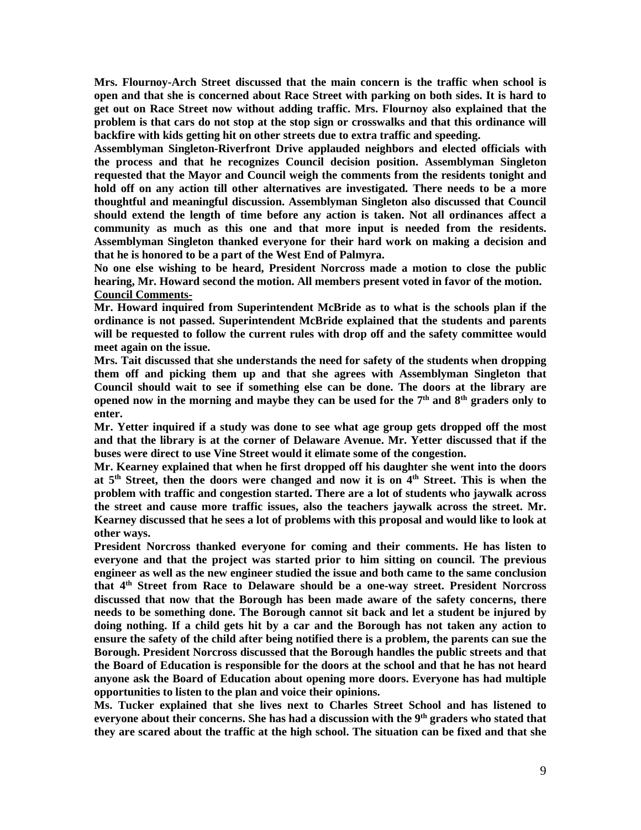**Mrs. Flournoy-Arch Street discussed that the main concern is the traffic when school is open and that she is concerned about Race Street with parking on both sides. It is hard to get out on Race Street now without adding traffic. Mrs. Flournoy also explained that the problem is that cars do not stop at the stop sign or crosswalks and that this ordinance will backfire with kids getting hit on other streets due to extra traffic and speeding.** 

**Assemblyman Singleton-Riverfront Drive applauded neighbors and elected officials with the process and that he recognizes Council decision position. Assemblyman Singleton requested that the Mayor and Council weigh the comments from the residents tonight and hold off on any action till other alternatives are investigated. There needs to be a more thoughtful and meaningful discussion. Assemblyman Singleton also discussed that Council should extend the length of time before any action is taken. Not all ordinances affect a community as much as this one and that more input is needed from the residents. Assemblyman Singleton thanked everyone for their hard work on making a decision and that he is honored to be a part of the West End of Palmyra.** 

**No one else wishing to be heard, President Norcross made a motion to close the public hearing, Mr. Howard second the motion. All members present voted in favor of the motion. Council Comments-**

**Mr. Howard inquired from Superintendent McBride as to what is the schools plan if the ordinance is not passed. Superintendent McBride explained that the students and parents will be requested to follow the current rules with drop off and the safety committee would meet again on the issue.** 

**Mrs. Tait discussed that she understands the need for safety of the students when dropping them off and picking them up and that she agrees with Assemblyman Singleton that Council should wait to see if something else can be done. The doors at the library are opened now in the morning and maybe they can be used for the 7th and 8th graders only to enter.** 

**Mr. Yetter inquired if a study was done to see what age group gets dropped off the most and that the library is at the corner of Delaware Avenue. Mr. Yetter discussed that if the buses were direct to use Vine Street would it elimate some of the congestion.** 

**Mr. Kearney explained that when he first dropped off his daughter she went into the doors at 5th Street, then the doors were changed and now it is on 4th Street. This is when the problem with traffic and congestion started. There are a lot of students who jaywalk across the street and cause more traffic issues, also the teachers jaywalk across the street. Mr. Kearney discussed that he sees a lot of problems with this proposal and would like to look at other ways.** 

**President Norcross thanked everyone for coming and their comments. He has listen to everyone and that the project was started prior to him sitting on council. The previous engineer as well as the new engineer studied the issue and both came to the same conclusion that 4th Street from Race to Delaware should be a one-way street. President Norcross discussed that now that the Borough has been made aware of the safety concerns, there needs to be something done. The Borough cannot sit back and let a student be injured by doing nothing. If a child gets hit by a car and the Borough has not taken any action to ensure the safety of the child after being notified there is a problem, the parents can sue the Borough. President Norcross discussed that the Borough handles the public streets and that the Board of Education is responsible for the doors at the school and that he has not heard anyone ask the Board of Education about opening more doors. Everyone has had multiple opportunities to listen to the plan and voice their opinions.** 

**Ms. Tucker explained that she lives next to Charles Street School and has listened to everyone about their concerns. She has had a discussion with the 9th graders who stated that they are scared about the traffic at the high school. The situation can be fixed and that she**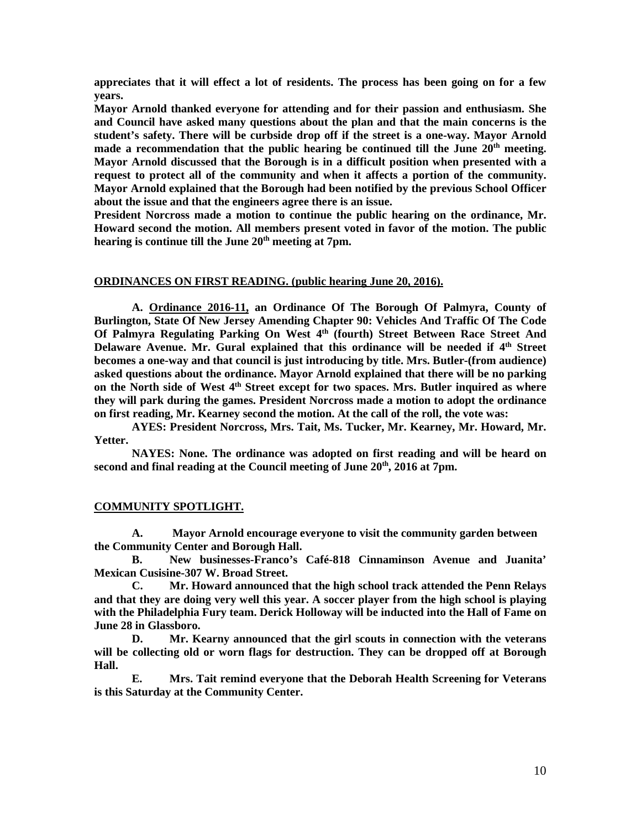**appreciates that it will effect a lot of residents. The process has been going on for a few years.** 

**Mayor Arnold thanked everyone for attending and for their passion and enthusiasm. She and Council have asked many questions about the plan and that the main concerns is the student's safety. There will be curbside drop off if the street is a one-way. Mayor Arnold made a recommendation that the public hearing be continued till the June 20th meeting. Mayor Arnold discussed that the Borough is in a difficult position when presented with a request to protect all of the community and when it affects a portion of the community. Mayor Arnold explained that the Borough had been notified by the previous School Officer about the issue and that the engineers agree there is an issue.** 

**President Norcross made a motion to continue the public hearing on the ordinance, Mr. Howard second the motion. All members present voted in favor of the motion. The public hearing is continue till the June 20th meeting at 7pm.** 

#### **ORDINANCES ON FIRST READING. (public hearing June 20, 2016).**

**A. Ordinance 2016-11, an Ordinance Of The Borough Of Palmyra, County of Burlington, State Of New Jersey Amending Chapter 90: Vehicles And Traffic Of The Code Of Palmyra Regulating Parking On West 4th (fourth) Street Between Race Street And Delaware Avenue. Mr. Gural explained that this ordinance will be needed if 4th Street becomes a one-way and that council is just introducing by title. Mrs. Butler-(from audience) asked questions about the ordinance. Mayor Arnold explained that there will be no parking on the North side of West 4th Street except for two spaces. Mrs. Butler inquired as where they will park during the games. President Norcross made a motion to adopt the ordinance on first reading, Mr. Kearney second the motion. At the call of the roll, the vote was:** 

**AYES: President Norcross, Mrs. Tait, Ms. Tucker, Mr. Kearney, Mr. Howard, Mr. Yetter.** 

**NAYES: None. The ordinance was adopted on first reading and will be heard on second and final reading at the Council meeting of June 20th, 2016 at 7pm.** 

### **COMMUNITY SPOTLIGHT.**

**A. Mayor Arnold encourage everyone to visit the community garden between the Community Center and Borough Hall.** 

 **B. New businesses-Franco's Café-818 Cinnaminson Avenue and Juanita' Mexican Cusisine-307 W. Broad Street.** 

 **C. Mr. Howard announced that the high school track attended the Penn Relays and that they are doing very well this year. A soccer player from the high school is playing with the Philadelphia Fury team. Derick Holloway will be inducted into the Hall of Fame on June 28 in Glassboro.** 

 **D. Mr. Kearny announced that the girl scouts in connection with the veterans will be collecting old or worn flags for destruction. They can be dropped off at Borough Hall.** 

 **E. Mrs. Tait remind everyone that the Deborah Health Screening for Veterans is this Saturday at the Community Center.**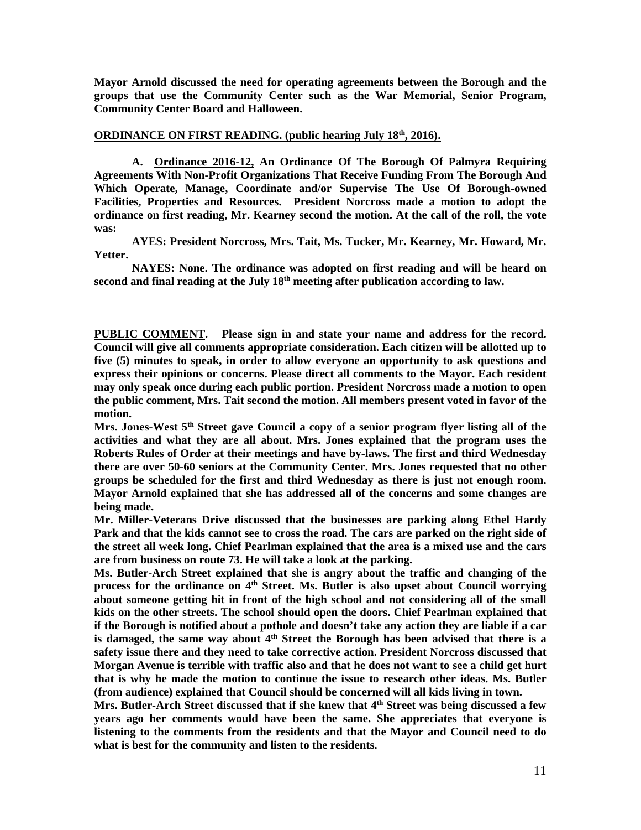**Mayor Arnold discussed the need for operating agreements between the Borough and the groups that use the Community Center such as the War Memorial, Senior Program, Community Center Board and Halloween.** 

## **ORDINANCE ON FIRST READING. (public hearing July 18th, 2016).**

 **A. Ordinance 2016-12, An Ordinance Of The Borough Of Palmyra Requiring Agreements With Non-Profit Organizations That Receive Funding From The Borough And Which Operate, Manage, Coordinate and/or Supervise The Use Of Borough-owned Facilities, Properties and Resources. President Norcross made a motion to adopt the ordinance on first reading, Mr. Kearney second the motion. At the call of the roll, the vote was:** 

 **AYES: President Norcross, Mrs. Tait, Ms. Tucker, Mr. Kearney, Mr. Howard, Mr. Yetter.** 

 **NAYES: None. The ordinance was adopted on first reading and will be heard on second and final reading at the July 18th meeting after publication according to law.** 

**PUBLIC COMMENT. Please sign in and state your name and address for the record. Council will give all comments appropriate consideration. Each citizen will be allotted up to five (5) minutes to speak, in order to allow everyone an opportunity to ask questions and express their opinions or concerns. Please direct all comments to the Mayor. Each resident may only speak once during each public portion. President Norcross made a motion to open the public comment, Mrs. Tait second the motion. All members present voted in favor of the motion.** 

**Mrs. Jones-West 5th Street gave Council a copy of a senior program flyer listing all of the activities and what they are all about. Mrs. Jones explained that the program uses the Roberts Rules of Order at their meetings and have by-laws. The first and third Wednesday there are over 50-60 seniors at the Community Center. Mrs. Jones requested that no other groups be scheduled for the first and third Wednesday as there is just not enough room. Mayor Arnold explained that she has addressed all of the concerns and some changes are being made.** 

**Mr. Miller-Veterans Drive discussed that the businesses are parking along Ethel Hardy Park and that the kids cannot see to cross the road. The cars are parked on the right side of the street all week long. Chief Pearlman explained that the area is a mixed use and the cars are from business on route 73. He will take a look at the parking.** 

**Ms. Butler-Arch Street explained that she is angry about the traffic and changing of the process for the ordinance on 4th Street. Ms. Butler is also upset about Council worrying about someone getting hit in front of the high school and not considering all of the small kids on the other streets. The school should open the doors. Chief Pearlman explained that if the Borough is notified about a pothole and doesn't take any action they are liable if a car is damaged, the same way about 4th Street the Borough has been advised that there is a safety issue there and they need to take corrective action. President Norcross discussed that Morgan Avenue is terrible with traffic also and that he does not want to see a child get hurt that is why he made the motion to continue the issue to research other ideas. Ms. Butler (from audience) explained that Council should be concerned will all kids living in town.** 

**Mrs. Butler-Arch Street discussed that if she knew that 4th Street was being discussed a few years ago her comments would have been the same. She appreciates that everyone is listening to the comments from the residents and that the Mayor and Council need to do what is best for the community and listen to the residents.**